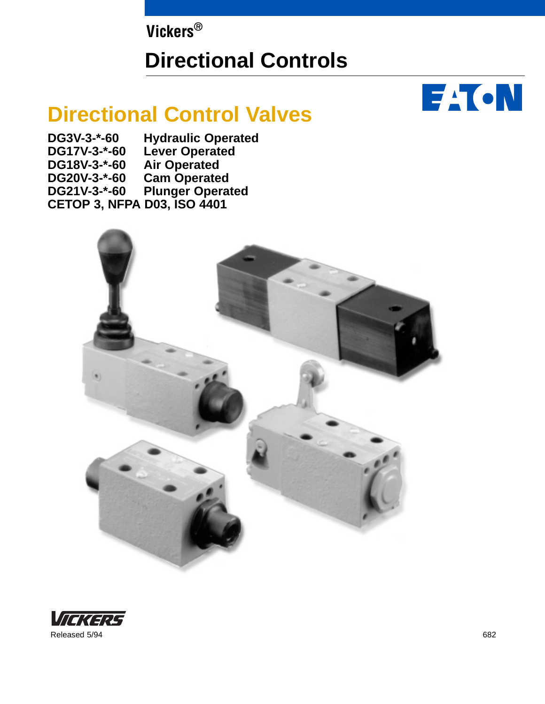**Vickers®**

# **Directional Controls**

# **Directional Control Valves**

- **DG3V-3-\*-60 Hydraulic Operated**
- **DG17V-3-\*-60 Lever Operated**
- DG18V-3-\*-60 Air Operated<br>DG20V-3-\*-60 Cam Operate
- **DG20V-3-\*-60 Cam Operated**
- **Plunger Operated**
- **CETOP 3, NFPA D03, ISO 4401**



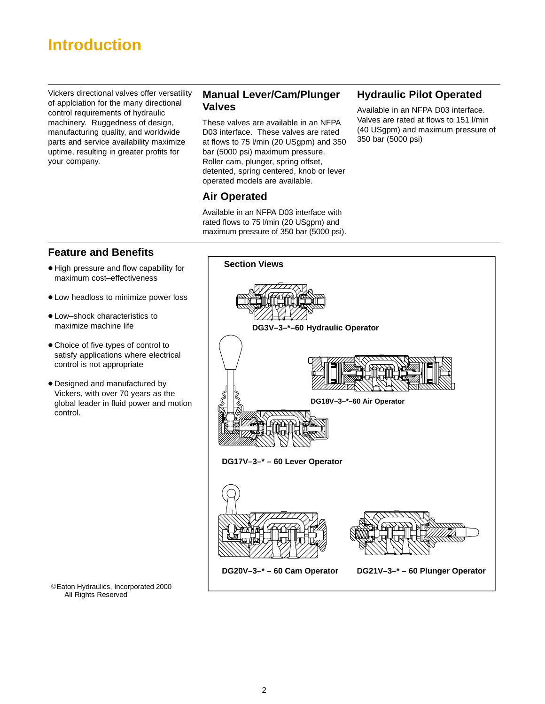## **Introduction**

Vickers directional valves offer versatility of applciation for the many directional control requirements of hydraulic machinery. Ruggedness of design, manufacturing quality, and worldwide parts and service availability maximize uptime, resulting in greater profits for your company.

### **Manual Lever/Cam/Plunger Valves**

These valves are available in an NFPA D03 interface. These valves are rated at flows to 75 l/min (20 USgpm) and 350 bar (5000 psi) maximum pressure. Roller cam, plunger, spring offset, detented, spring centered, knob or lever operated models are available.

### **Air Operated**

Available in an NFPA D03 interface with rated flows to 75 l/min (20 USgpm) and maximum pressure of 350 bar (5000 psi).

### **Hydraulic Pilot Operated**

Available in an NFPA D03 interface. Valves are rated at flows to 151 l/min (40 USgpm) and maximum pressure of 350 bar (5000 psi)

### **Feature and Benefits**

- $\bullet$  High pressure and flow capability for maximum cost–effectiveness
- Low headloss to minimize power loss
- Low–shock characteristics to maximize machine life
- Choice of five types of control to satisfy applications where electrical control is not appropriate
- Designed and manufactured by Vickers, with over 70 years as the global leader in fluid power and motion control.

© Eaton Hydraulics, Incorporated 2000 All Rights Reserved

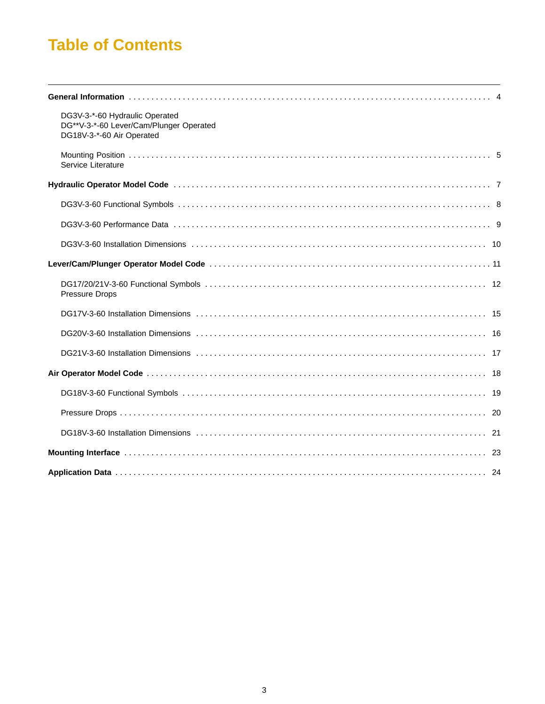## **Table of Contents**

| DG3V-3-*-60 Hydraulic Operated<br>DG**V-3-*-60 Lever/Cam/Plunger Operated<br>DG18V-3-*-60 Air Operated |
|--------------------------------------------------------------------------------------------------------|
| Service Literature                                                                                     |
|                                                                                                        |
|                                                                                                        |
|                                                                                                        |
|                                                                                                        |
|                                                                                                        |
| <b>Pressure Drops</b>                                                                                  |
|                                                                                                        |
|                                                                                                        |
|                                                                                                        |
|                                                                                                        |
|                                                                                                        |
|                                                                                                        |
|                                                                                                        |
|                                                                                                        |
|                                                                                                        |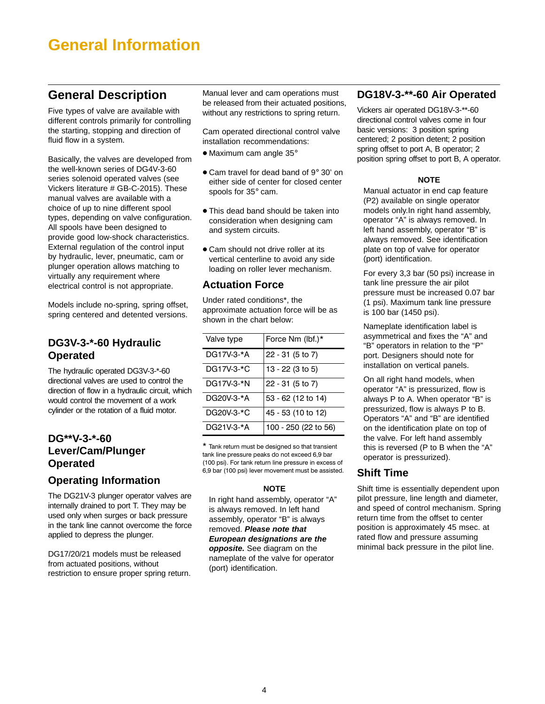## <span id="page-3-0"></span>**General Information**

## **General Description**

Five types of valve are available with different controls primarily for controlling the starting, stopping and direction of fluid flow in a system.

Basically, the valves are developed from the well-known series of DG4V-3-60 series solenoid operated valves (see Vickers literature # GB-C-2015). These manual valves are available with a choice of up to nine different spool types, depending on valve configuration. All spools have been designed to provide good low-shock characteristics. External regulation of the control input by hydraulic, lever, pneumatic, cam or plunger operation allows matching to virtually any requirement where electrical control is not appropriate.

Models include no-spring, spring offset, spring centered and detented versions.

### **DG3V-3-\*-60 Hydraulic Operated**

The hydraulic operated DG3V-3-\*-60 directional valves are used to control the direction of flow in a hydraulic circuit, which would control the movement of a work cylinder or the rotation of a fluid motor.

### **DG\*\*V-3-\*-60 Lever/Cam/Plunger Operated**

### **Operating Information**

The DG21V-3 plunger operator valves are internally drained to port T. They may be used only when surges or back pressure in the tank line cannot overcome the force applied to depress the plunger.

DG17/20/21 models must be released from actuated positions, without restriction to ensure proper spring return. Manual lever and cam operations must be released from their actuated positions, without any restrictions to spring return.

Cam operated directional control valve installation recommendations:

- $\bullet$  Maximum cam angle 35 $^{\circ}$
- Cam travel for dead band of 9° 30' on either side of center for closed center spools for 35° cam.
- This dead band should be taken into consideration when designing cam and system circuits.
- Cam should not drive roller at its vertical centerline to avoid any side loading on roller lever mechanism.

### **Actuation Force**

Under rated conditions\*, the approximate actuation force will be as shown in the chart below:

| Valve type | Force Nm (lbf.)*     |
|------------|----------------------|
| DG17V-3-*A | 22 - 31 (5 to 7)     |
| DG17V-3-*C | 13 - 22 (3 to 5)     |
| DG17V-3-*N | 22 - 31 (5 to 7)     |
| DG20V-3-*A | 53 - 62 (12 to 14)   |
| DG20V-3-*C | 45 - 53 (10 to 12)   |
| DG21V-3-*A | 100 - 250 (22 to 56) |

\* Tank return must be designed so that transient tank line pressure peaks do not exceed 6,9 bar (100 psi). For tank return line pressure in excess of 6,9 bar (100 psi) lever movement must be assisted.

### **NOTE**

In right hand assembly, operator "A" is always removed. In left hand assembly, operator "B" is always removed. **Please note that European designations are the opposite.** See diagram on the nameplate of the valve for operator (port) identification.

### **DG18V-3-\*\*-60 Air Operated**

Vickers air operated DG18V-3-\*\*-60 directional control valves come in four basic versions: 3 position spring centered; 2 position detent; 2 position spring offset to port A, B operator; 2 position spring offset to port B, A operator.

### **NOTE**

Manual actuator in end cap feature (P2) available on single operator models only.In right hand assembly, operator "A" is always removed. In left hand assembly, operator "B" is always removed. See identification plate on top of valve for operator (port) identification.

For every 3,3 bar (50 psi) increase in tank line pressure the air pilot pressure must be increased 0.07 bar (1 psi). Maximum tank line pressure is 100 bar (1450 psi).

Nameplate identification label is asymmetrical and fixes the "A" and "B" operators in relation to the "P" port. Designers should note for installation on vertical panels.

On all right hand models, when operator "A" is pressurized, flow is always P to A. When operator "B" is pressurized, flow is always P to B. Operators "A" and "B" are identified on the identification plate on top of the valve. For left hand assembly this is reversed (P to B when the "A" operator is pressurized).

### **Shift Time**

Shift time is essentially dependent upon pilot pressure, line length and diameter, and speed of control mechanism. Spring return time from the offset to center position is approximately 45 msec. at rated flow and pressure assuming minimal back pressure in the pilot line.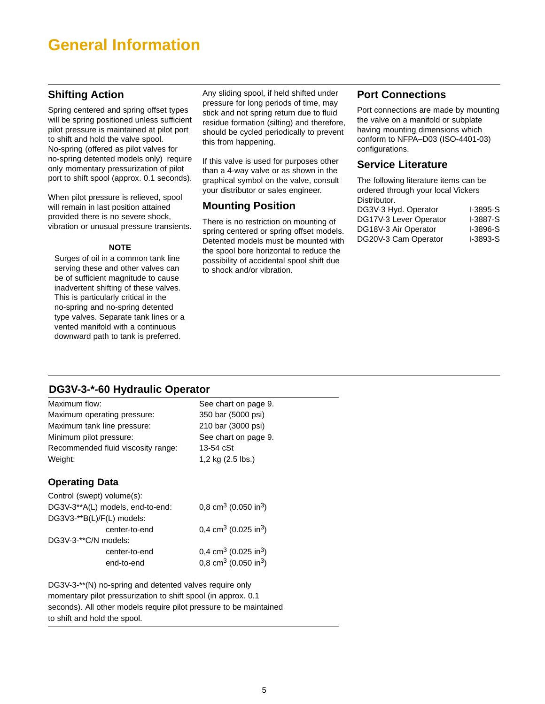## <span id="page-4-0"></span>**General Information**

### **Shifting Action**

Spring centered and spring offset types will be spring positioned unless sufficient pilot pressure is maintained at pilot port to shift and hold the valve spool. No-spring (offered as pilot valves for no-spring detented models only) require only momentary pressurization of pilot port to shift spool (approx. 0.1 seconds).

When pilot pressure is relieved, spool will remain in last position attained provided there is no severe shock, vibration or unusual pressure transients.

### **NOTE**

Surges of oil in a common tank line serving these and other valves can be of sufficient magnitude to cause inadvertent shifting of these valves. This is particularly critical in the no-spring and no-spring detented type valves. Separate tank lines or a vented manifold with a continuous downward path to tank is preferred.

Any sliding spool, if held shifted under pressure for long periods of time, may stick and not spring return due to fluid residue formation (silting) and therefore, should be cycled periodically to prevent this from happening.

If this valve is used for purposes other than a 4-way valve or as shown in the graphical symbol on the valve, consult your distributor or sales engineer.

### **Mounting Position**

There is no restriction on mounting of spring centered or spring offset models. Detented models must be mounted with the spool bore horizontal to reduce the possibility of accidental spool shift due to shock and/or vibration.

### **Port Connections**

Port connections are made by mounting the valve on a manifold or subplate having mounting dimensions which conform to NFPA–D03 (ISO-4401-03) configurations.

### **Service Literature**

| The following literature items can be |            |  |  |  |
|---------------------------------------|------------|--|--|--|
| ordered through your local Vickers    |            |  |  |  |
| Distributor.                          |            |  |  |  |
| DG3V-3 Hyd. Operator                  | I-3895-S   |  |  |  |
| DG17V-3 Lever Operator                | I-3887-S   |  |  |  |
| DG18V-3 Air Operator                  | $I-3896-S$ |  |  |  |
| DG20V-3 Cam Operator                  | I-3893-S   |  |  |  |
|                                       |            |  |  |  |

### **DG3V-3-\*-60 Hydraulic Operator**

| Maximum flow:<br>Maximum operating pressure:<br>Maximum tank line pressure:<br>Minimum pilot pressure:<br>Recommended fluid viscosity range:<br>Weight: | See chart on page 9.<br>350 bar (5000 psi)<br>210 bar (3000 psi)<br>See chart on page 9.<br>$13-54$ $cSt$<br>1,2 kg (2.5 lbs.) |
|---------------------------------------------------------------------------------------------------------------------------------------------------------|--------------------------------------------------------------------------------------------------------------------------------|
| <b>Operating Data</b>                                                                                                                                   |                                                                                                                                |
| Control (swept) volume(s):                                                                                                                              |                                                                                                                                |
| DG3V-3**A(L) models, end-to-end:                                                                                                                        | 0,8 cm <sup>3</sup> (0.050 in <sup>3</sup> )                                                                                   |
| DG3V3-**B(L)/F(L) models:                                                                                                                               |                                                                                                                                |
| center-to-end                                                                                                                                           | 0,4 cm <sup>3</sup> (0.025 in <sup>3</sup> )                                                                                   |
| DG3V-3-**C/N models:                                                                                                                                    |                                                                                                                                |
| center-to-end                                                                                                                                           | 0,4 cm <sup>3</sup> (0.025 in <sup>3</sup> )                                                                                   |
| end-to-end                                                                                                                                              | 0,8 cm <sup>3</sup> (0.050 in <sup>3</sup> )                                                                                   |

DG3V-3-\*\*(N) no-spring and detented valves require only momentary pilot pressurization to shift spool (in approx. 0.1 seconds). All other models require pilot pressure to be maintained to shift and hold the spool.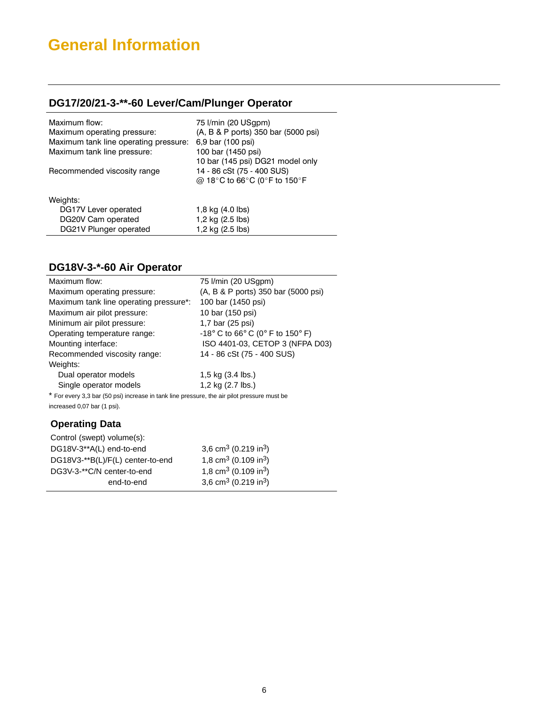# **General Information**

## **DG17/20/21-3-\*\*-60 Lever/Cam/Plunger Operator**

| Maximum flow:<br>Maximum operating pressure:<br>Maximum tank line operating pressure:<br>Maximum tank line pressure:<br>Recommended viscosity range | 75 I/min (20 USgpm)<br>(A, B & P ports) 350 bar (5000 psi)<br>6,9 bar (100 psi)<br>100 bar (1450 psi)<br>10 bar (145 psi) DG21 model only<br>14 - 86 cSt (75 - 400 SUS)<br>@ 18°C to 66°C (0°F to 150°F |
|-----------------------------------------------------------------------------------------------------------------------------------------------------|---------------------------------------------------------------------------------------------------------------------------------------------------------------------------------------------------------|
| Weights:                                                                                                                                            |                                                                                                                                                                                                         |
| DG17V Lever operated                                                                                                                                | 1,8 kg (4.0 lbs)                                                                                                                                                                                        |
| DG20V Cam operated                                                                                                                                  | 1,2 kg (2.5 lbs)                                                                                                                                                                                        |
| DG21V Plunger operated                                                                                                                              | 1,2 kg (2.5 lbs)                                                                                                                                                                                        |
|                                                                                                                                                     |                                                                                                                                                                                                         |

## **DG18V-3-\*-60 Air Operator**

| Maximum flow:                                                                               | 75 I/min (20 USgpm)                                                     |
|---------------------------------------------------------------------------------------------|-------------------------------------------------------------------------|
| Maximum operating pressure:                                                                 | (A, B & P ports) 350 bar (5000 psi)                                     |
| Maximum tank line operating pressure*:                                                      | 100 bar (1450 psi)                                                      |
| Maximum air pilot pressure:                                                                 | 10 bar (150 psi)                                                        |
| Minimum air pilot pressure:                                                                 | 1,7 bar (25 psi)                                                        |
| Operating temperature range:                                                                | $-18^{\circ}$ C to 66 $^{\circ}$ C (0 $^{\circ}$ F to 150 $^{\circ}$ F) |
| Mounting interface:                                                                         | ISO 4401-03, CETOP 3 (NFPA D03)                                         |
| Recommended viscosity range:                                                                | 14 - 86 cSt (75 - 400 SUS)                                              |
| Weights:                                                                                    |                                                                         |
| Dual operator models                                                                        | 1,5 kg $(3.4 \text{ lbs.})$                                             |
| Single operator models                                                                      | 1,2 kg (2.7 lbs.)                                                       |
| * For every 3,3 bar (50 psi) increase in tank line pressure, the air pilot pressure must be |                                                                         |
| increased 0,07 bar (1 psi).                                                                 |                                                                         |
| <b>Operating Data</b>                                                                       |                                                                         |
| Control (swept) volume(s):                                                                  |                                                                         |
| DG18V-3**A(L) end-to-end                                                                    | 3,6 cm <sup>3</sup> (0.219 in <sup>3</sup> )                            |
| DG18V3-**B(L)/F(L) center-to-end                                                            | 1,8 cm <sup>3</sup> (0.109 in <sup>3</sup> )                            |
| DG3V-3-**C/N center-to-end                                                                  | 1,8 cm <sup>3</sup> (0.109 in <sup>3</sup> )                            |
| end-to-end                                                                                  | 3,6 cm <sup>3</sup> (0.219 in <sup>3</sup> )                            |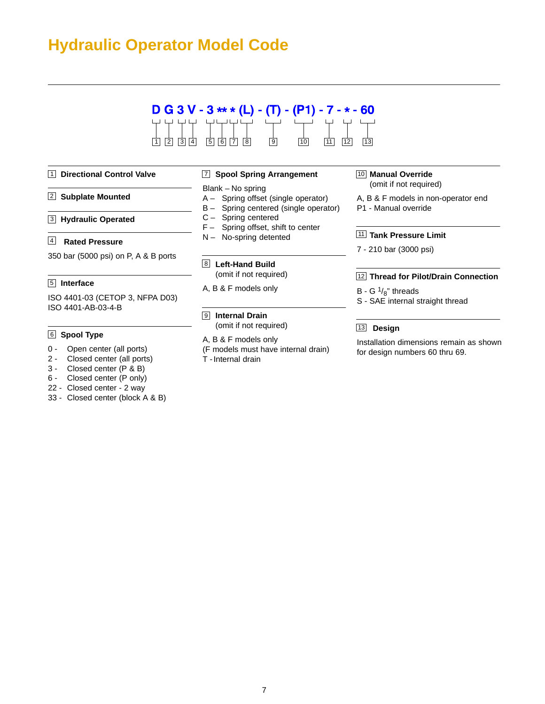## <span id="page-6-0"></span>**Hydraulic Operator Model Code**



#### 1 **Directional Control Valve**

- 2 **Subplate Mounted**
- **Hydraulic Operated** 3

### **Rated Pressure** 4

350 bar (5000 psi) on P, A & B ports

### **Interface** 5

ISO 4401-03 (CETOP 3, NFPA D03) ISO 4401-AB-03-4-B

#### **Spool Type** 6

- 0 Open center (all ports)
- 2 Closed center (all ports)
- 3 Closed center (P & B)
- 6 Closed center (P only)
- 22 Closed center 2 way
- 33 Closed center (block A & B)

#### 7 **Spool Spring Arrangement**

Blank – No spring

- A Spring offset (single operator)
- B Spring centered (single operator)
- C Spring centered
- F Spring offset, shift to center
- N No-spring detented

#### 8 **Left-Hand Build** (omit if not required)

- A, B & F models only
- 9 **Internal Drain**
	- (omit if not required)
- A, B & F models only
- (F models must have internal drain)
- T -Internal drain

#### 10 **Manual Override** (omit if not required)

- A, B & F models in non-operator end P1 - Manual override
- 11 **Tank Pressure Limit**
- 7 210 bar (3000 psi)

#### 12 **Thread for Pilot/Drain Connection**

- B G  $\frac{1}{8}$ " threads
- S SAE internal straight thread

### 13 **Design**

Installation dimensions remain as shown for design numbers 60 thru 69.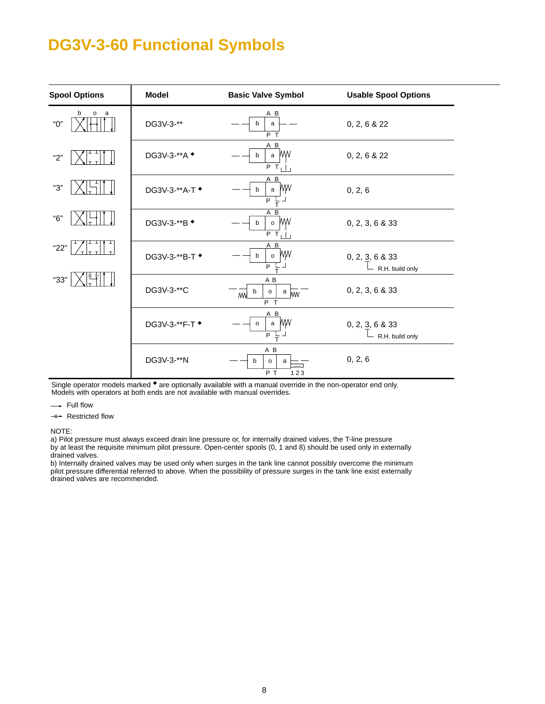## <span id="page-7-0"></span>**DG3V-3-60 Functional Symbols**

| <b>Spool Options</b>     | <b>Model</b>               | <b>Basic Valve Symbol</b>                                                      | <b>Usable Spool Options</b>        |
|--------------------------|----------------------------|--------------------------------------------------------------------------------|------------------------------------|
| b<br>$\circ$<br>a<br>"О" | DG3V-3-**                  | A B<br>b<br>a<br>$\overline{P}$ T                                              | 0, 2, 6 & 22                       |
| "2"                      | DG3V-3-**A <sup>+</sup>    | A B<br>WW<br>$\mathsf{a}$<br>b<br>$\overline{P}$ T <sub>1</sub> I <sub>1</sub> | 0, 2, 6 & 22                       |
| "З"                      | DG3V-3-**A-T ◆             | A B<br>МW<br>b<br>a<br>P                                                       | 0, 2, 6                            |
| "6"                      | DG3V-3-**B $\triangleleft$ | A B<br><b>MW</b><br>$\circ$<br>b<br>$\overline{PT}_{1}$                        | 0, 2, 3, 6 & 33                    |
| "22"                     | DG3V-3-**B-T +             | A B<br>МW<br>b<br>$\mathsf{o}\,$<br>P                                          | 0, 2, 3, 6 & 33<br>R.H. build only |
| "33"                     | DG3V-3-**C                 | A B<br>b<br>$^{\circ}$ MW<br>$\mathsf{o}\,$<br>/W<br>$P$ T                     | 0, 2, 3, 6 & 33                    |
|                          | DG3V-3-**F-T $\bullet$     | AВ<br>МW<br>$\mathsf{o}\,$<br>a<br>P                                           | 0, 2, 3, 6 & 33<br>R.H. build only |
|                          | DG3V-3-**N                 | A B<br>b<br>$\mathsf{o}\,$<br>a<br>PT<br>123                                   | 0, 2, 6                            |

Single operator models marked  $\bullet$  are optionally available with a manual override in the non-operator end only. Models with operators at both ends are not available with manual overrides.

- Full flow

 $\Rightarrow$  Restricted flow

NOTE:

a) Pilot pressure must always exceed drain line pressure or, for internally drained valves, the T-line pressure by at least the requisite minimum pilot pressure. Open-center spools (0, 1 and 8) should be used only in externally drained valves.

b) Internally drained valves may be used only when surges in the tank line cannot possibly overcome the minimum pilot pressure differential referred to above. When the possibility of pressure surges in the tank line exist externally drained valves are recommended.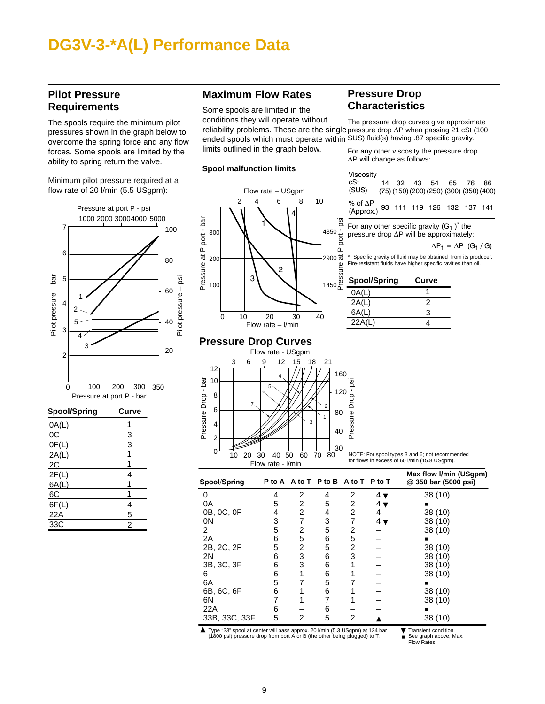## <span id="page-8-0"></span>**DG3V-3-\*A(L) Performance Data**

### **Pilot Pressure Requirements**

The spools require the minimum pilot pressures shown in the graph below to overcome the spring force and any flow forces. Some spools are limited by the ability to spring return the valve.

Minimum pilot pressure required at a flow rate of 20 l/min (5.5 USgpm):



| <b>Spool/Spring</b> | Curve |
|---------------------|-------|
| OA(L)               |       |
| 0C                  | 3     |
| OF(L)               | 3     |
| 2A(L)               |       |
| 2C                  |       |
| 2F(L)               | 4     |
| 6A(L)               |       |
| 6C                  |       |
| 6F(L)               | 4     |
| 22A                 | 5     |
| 33C                 | 2     |
|                     |       |

### **Maximum Flow Rates**

limits outlined in the graph below.

Some spools are limited in the conditions they will operate without reliability problems. These are the single pressure drop  $\Delta P$  when passing 21 cSt (100 ended spools which must operate within SUS) fluid(s) having .87 specific gravity. The pressure drop curves give approximate **Characteristics**

For any other viscosity the pressure drop  $\Delta P$  will change as follows:

**Pressure Drop** 

#### **Spool malfunction limits**



| Viscosity<br>cSt<br>(SUS)                                                                                                       | 14 |  |              | 32    43    54    65<br>(75) (150) (200) (250) (300) (350) (400) | 76 | 86 |
|---------------------------------------------------------------------------------------------------------------------------------|----|--|--------------|------------------------------------------------------------------|----|----|
| % of $\Delta P$<br>(Approx.)                                                                                                    |    |  |              | 93 111 119 126 132 137 141                                       |    |    |
| For any other specific gravity $(G_1)$ the<br>pressure drop $\Delta P$ will be approximately:                                   |    |  |              | $\Delta P_1 = \Delta P$ (G <sub>1</sub> /G)                      |    |    |
| * Specific gravity of fluid may be obtained from its producer.<br>Fire-resistant fluids have higher specific ravities than oil. |    |  |              |                                                                  |    |    |
| <b>Spool/Spring</b>                                                                                                             |    |  | <b>Curve</b> |                                                                  |    |    |
| 0A(L)                                                                                                                           |    |  | 1            |                                                                  |    |    |
| 2A(L)                                                                                                                           |    |  | 2            |                                                                  |    |    |
| 6A(L)                                                                                                                           |    |  | 3            |                                                                  |    |    |
| 22A(L)                                                                                                                          |    |  | 4            |                                                                  |    |    |

### **Pressure Drop Curves**



NOTE: For spool types 3 and 6; not recommended for flows in excess of 60 l/min (15.8 USgpm).

| Spool/Spring   |   |   | P to A A to T P to B A to T P to T |   |             | Max flow I/min (USgpm)<br>@ 350 bar (5000 psi) |
|----------------|---|---|------------------------------------|---|-------------|------------------------------------------------|
| 0              |   | 2 | 4                                  | 2 | 4 v         | 38(10)                                         |
| 0A             | 5 | 2 | 5                                  | 2 | 4 v         |                                                |
| 0B, 0C, 0F     | 4 | 2 | 4                                  | 2 | 4           | 38(10)                                         |
| 0 <sub>N</sub> | 3 | 7 | 3                                  |   | $4\sqrt{ }$ | 38 (10)                                        |
| 2              | 5 | 2 | 5                                  | 2 |             | 38 (10)                                        |
| 2A             | 6 | 5 | 6                                  | 5 |             |                                                |
| 2B, 2C, 2F     | 5 | 2 | 5                                  | 2 |             | 38 (10)                                        |
| 2N             | 6 | 3 | 6                                  | 3 |             | 38 (10)                                        |
| 3B, 3C, 3F     | 6 | 3 | 6                                  |   |             | 38 (10)                                        |
| 6              | 6 |   | 6                                  |   |             | 38 (10)                                        |
| 6A             | 5 |   | 5                                  |   |             |                                                |
| 6B, 6C, 6F     | 6 |   | 6                                  |   |             | 38(10)                                         |
| 6N             |   |   |                                    |   |             | 38 (10)                                        |
| 22A            | 6 |   | 6                                  |   |             |                                                |
| 33B, 33C, 33F  | 5 | 2 | 5                                  | 2 |             | 38 (10)                                        |

■ Type "33" spool at center will pass approx. 20 l/min (5.3 USgpm) at 124 bar ■ Transient condition.<br>(1800 psi) pressure drop from port A or B (the other being plugged) to T. ■ See graph above, M

▼  $\blacksquare$ See graph above, Max. Flow Rates.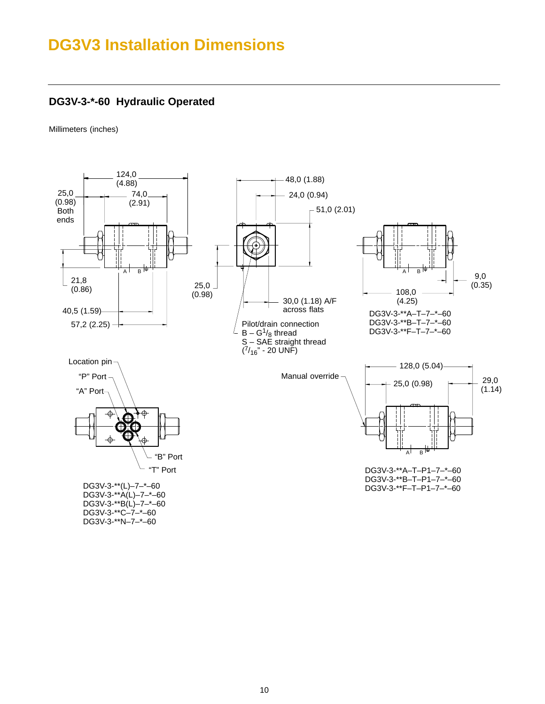## <span id="page-9-0"></span>**DG3V3 Installation Dimensions**

### **DG3V-3-\*-60 Hydraulic Operated**

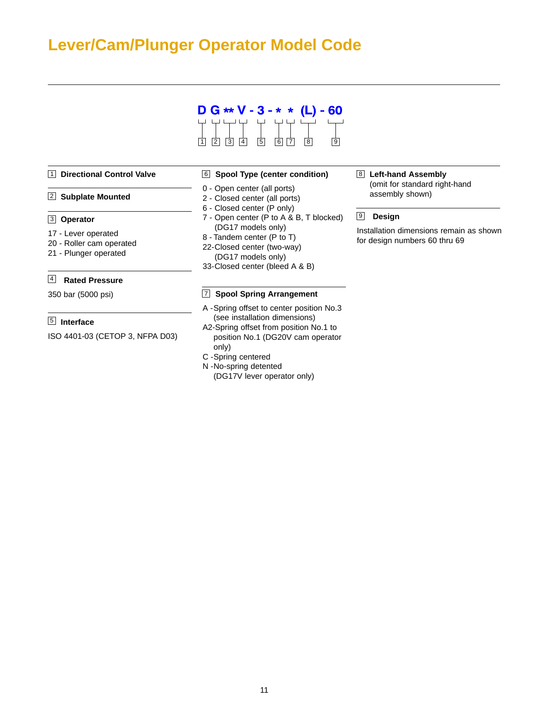## <span id="page-10-0"></span>**Lever/Cam/Plunger Operator Model Code**



#### 1 **Directional Control Valve**

#### 2 **Subplate Mounted**

#### **Operator** 3

- 17 Lever operated
- 20 Roller cam operated
- 21 Plunger operated

### **Rated Pressure** 4

350 bar (5000 psi)

### **Interface** 5

ISO 4401-03 (CETOP 3, NFPA D03)

#### 6 **Spool Type (center condition)**

- 0 Open center (all ports)
- 2 Closed center (all ports)
- 6 Closed center (P only)
- 7 Open center (P to A & B, T blocked) (DG17 models only)
- 8 Tandem center (P to T)
- 22-Closed center (two-way) (DG17 models only)
- 33-Closed center (bleed A & B)

#### 7 **Spool Spring Arrangement**

- A -Spring offset to center position No.3 (see installation dimensions)
- A2-Spring offset from position No.1 to position No.1 (DG20V cam operator only)
- C -Spring centered
- N -No-spring detented (DG17V lever operator only)

## **Left-hand Assembly** 8

(omit for standard right-hand assembly shown)

### **Design** 9

Installation dimensions remain as shown for design numbers 60 thru 69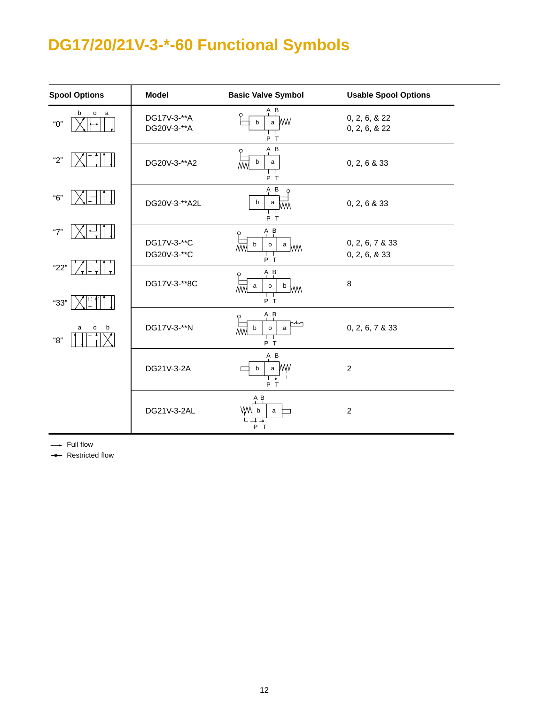# <span id="page-11-0"></span>**DG17/20/21V-3-\*-60 Functional Symbols**

| <b>Spool Options</b> | <b>Model</b>               | <b>Basic Valve Symbol</b>                                       | <b>Usable Spool Options</b>      |
|----------------------|----------------------------|-----------------------------------------------------------------|----------------------------------|
| b<br>o a<br>"О"      | DG17V-3-**A<br>DG20V-3-**A | A B<br>∩<br><b>WW</b><br>$\mathsf{a}$<br>b<br>P T               | 0, 2, 6, & 22<br>0, 2, 6, & 22   |
| "2"                  | DG20V-3-**A2               | $A$ $B$<br>b<br>$\mathsf{a}$<br>M٨<br>P T                       | 0, 2, 6 & 33                     |
| "6"                  | DG20V-3-**A2L              | $A$ $B$<br>$\varphi$<br>b<br>a<br>MМ<br>P T                     | 0, 2, 6 & 33                     |
| "7"                  | DG17V-3-**C<br>DG20V-3-**C | $A$ $B$<br>Q<br>w<br>b<br>$\mathsf{o}$<br>$a \wedge$<br>$P$ T   | 0, 2, 6, 7 & 33<br>0, 2, 6, & 33 |
| "22"<br>"33"         | DG17V-3-**8C               | $A$ $B$<br>Q<br>$\mathsf{o}$<br>$\mu$ MW<br>a<br>W<br>P T       | 8                                |
| a<br>b<br>o<br>"8"   | DG17V-3-**N                | $A$ $B$<br>Q<br>b<br>$\mathsf{o}$<br>a<br>$\overline{M}$<br>P T | 0, 2, 6, 7 & 33                  |
|                      | DG21V-3-2A                 | $A$ $B$<br>a WW<br>b<br>₣<br>P T                                | $\overline{c}$                   |
|                      | DG21V-3-2AL                | A B<br>WW<br>b<br>$\mathsf{a}$<br>P T                           | $\boldsymbol{2}$                 |

-- Full flow

 $\rightleftharpoons$  **Restricted flow**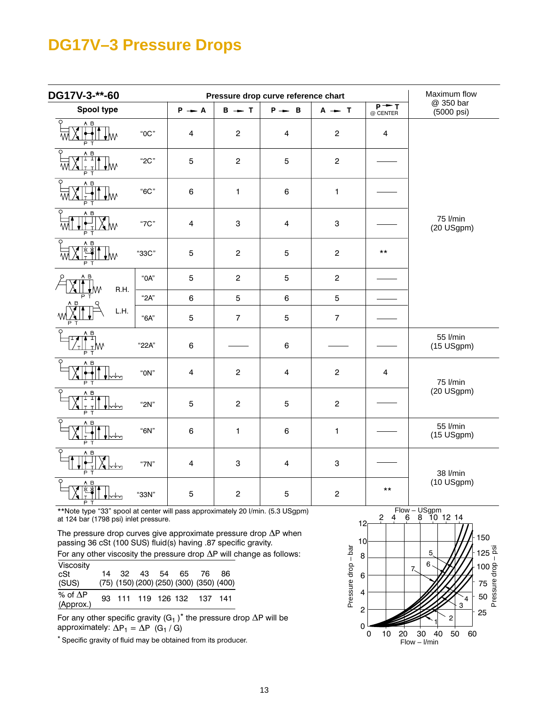## **DG17V–3 Pressure Drops**

 $\overline{a}$ 

| DG17V-3-**-60                       |          | Pressure drop curve reference chart |                           |                         |                |                              | Maximum flow            |
|-------------------------------------|----------|-------------------------------------|---------------------------|-------------------------|----------------|------------------------------|-------------------------|
| Spool type                          |          | $P - A$                             | $B - T$                   | $P \rightarrow B$       | $A - T$        | $\overline{P+T}$<br>@ CENTER | @ 350 bar<br>(5000 psi) |
| $\circ$<br>A B<br>₩                 | "0C"     | 4                                   | $\overline{c}$            | $\overline{4}$          | $\overline{c}$ | $\overline{\mathbf{4}}$      |                         |
| A B<br>고고<br>↓W                     | "2C"     | $\overline{5}$                      | $\overline{c}$            | 5                       | $\overline{c}$ |                              |                         |
| A B<br>↓W<br>P.<br>т                | "6C"     | 6                                   | $\mathbf{1}$              | $\,6\,$                 | $\mathbf{1}$   |                              |                         |
| Q<br>A B<br>≤w                      | "7C"     | $\overline{\mathbf{4}}$             | $\ensuremath{\mathsf{3}}$ | $\overline{\mathbf{4}}$ | 3              |                              | 75 l/min<br>(20 USgpm)  |
| A B<br>₩<br>т                       | "33C"    | $\mathbf 5$                         | $\mathbf 2$               | 5                       | $\mathbf 2$    | $***$                        |                         |
| A B<br>R.H.<br>ŀ₩                   | "OA"     | $\overline{5}$                      | $\mathbf 2$               | 5                       | $\overline{c}$ |                              |                         |
| P                                   | "2A"     | 6                                   | $\overline{5}$            | $\,6\,$                 | 5              |                              |                         |
| L.H.                                | "6A"     | $\mathbf 5$                         | $\overline{7}$            | $\mathbf 5$             | $\overline{7}$ |                              |                         |
| O<br>A B<br>ा-म<br>⊥W<br>P T        | "22A"    | $\,6\,$                             |                           | $\,6\,$                 |                |                              | 55 l/min<br>(15 USgpm)  |
| O<br>A B<br>∽ ื่∽า<br>P.<br>т       | " $ON"$  | $\overline{\mathbf{4}}$             | $\mathbf 2$               | $\overline{4}$          | $\mathbf 2$    | $\overline{\mathbf{4}}$      | 75 l/min                |
| $\circ$<br>A B<br>P<br>$\mathsf{T}$ | " $2N$ " | $\overline{5}$                      | $\overline{c}$            | 5                       | $\overline{c}$ |                              | (20 USgpm)              |
| $\overline{Q}$<br>A B<br>РΤ         | "6N"     | $\,6\,$                             | $\mathbf{1}$              | $\,6\,$                 | $\mathbf{1}$   |                              | 55 l/min<br>(15 USgpm)  |
| $\circ$<br>$A$ $B$<br>P             | "7 $N$ " | $\overline{\mathbf{4}}$             | $\ensuremath{\mathsf{3}}$ | $\overline{\mathbf{4}}$ | 3              |                              | 38 l/min                |
| A <sub>B</sub>                      | "33N"    | 5                                   | $\mathbf 2$               | 5                       | $\mathbf 2$    | $***$                        | (10 USgpm)              |

\*\*Note type "33" spool at center will pass approximately 20 I/min. (5.3 USgpm) at 124 bar (1798 psi) inlet pressure.

The pressure drop curves give approximate pressure drop  $\Delta P$  when passing 36 cSt (100 SUS) fluid(s) having .87 specific gravity.

For any other viscosity the pressure drop  $\Delta P$  will change as follows:

| Viscosity                    |  |  |                   |                                          |    |
|------------------------------|--|--|-------------------|------------------------------------------|----|
| cSt                          |  |  | 14 32 43 54 65 76 |                                          | 86 |
| (SUS)                        |  |  |                   | (75) (150) (200) (250) (300) (350) (400) |    |
| % of $\Delta P$<br>(Approx.) |  |  |                   | 93 111 119 126 132 137 141               |    |

approximately:  $\Delta P_1 = \Delta P$  (G<sub>1</sub> / G) For any other specific gravity  $\left({\tt G_1}\,\right)^*$  the pressure drop  $\Delta {\sf P}$  will be

\* Specific gravity of fluid may be obtained from its producer.

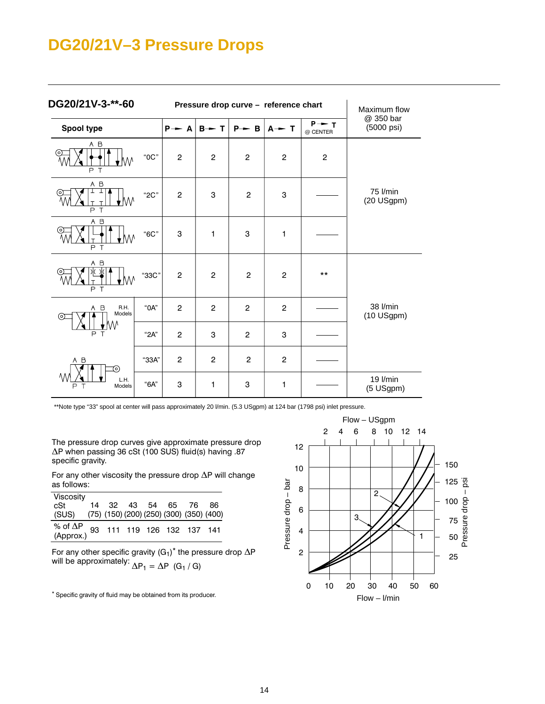## **DG20/21V–3 Pressure Drops**

| DG20/21V-3-**-60                            |       |                | Pressure drop curve - reference chart | Maximum flow      |                   |                               |                         |
|---------------------------------------------|-------|----------------|---------------------------------------|-------------------|-------------------|-------------------------------|-------------------------|
| Spool type                                  |       | $P - A$        | $B - T$                               | $P \rightarrow B$ | $A \rightarrow T$ | $P \rightarrow T$<br>@ CENTER | @ 350 bar<br>(5000 psi) |
| A B<br>M٨<br>PT                             | "0C"  | $\overline{c}$ | $\overline{c}$                        | $\overline{c}$    | $\overline{c}$    | $\overline{c}$                |                         |
| A B<br>⊥<br>∤W<br>P T                       | "2C"  | $\overline{2}$ | 3                                     | $\overline{c}$    | 3                 |                               | 75 l/min<br>(20 USgpm)  |
| A B<br>o,<br>t₩<br>$\overline{P}$<br>$\top$ | "6C"  | 3              | $\mathbf{1}$                          | 3                 | 1                 |                               |                         |
| A B<br>↓M<br>PT                             | "33C" | $\overline{c}$ | $\overline{2}$                        | $\overline{c}$    | $\mathbf{2}$      | $***$                         |                         |
| R.H.<br>A B<br>Models<br>⊚<br>P             | "OA"  | 2              | $\overline{2}$                        | 2                 | $\overline{2}$    |                               | 38 l/min<br>(10 USgpm)  |
|                                             | "2A"  | $\overline{c}$ | 3                                     | $\mathbf{2}$      | 3                 |                               |                         |
| A B<br>ര                                    | "33A" | 2              | $\overline{2}$                        | $\overline{c}$    | $\overline{c}$    |                               |                         |
| Ą,<br>L.H.<br>T<br>Models<br>Ρ              | "6A"  | 3              | 1                                     | 3                 | 1                 |                               | 19 l/min<br>(5 USgpm)   |

\*\*Note type "33" spool at center will pass approximately 20 l/min. (5.3 USgpm) at 124 bar (1798 psi) inlet pressure.

The pressure drop curves give approximate pressure drop  $\Delta$ P when passing 36 cSt (100 SUS) fluid(s) having .87 specific gravity.

For any other viscosity the pressure drop  $\Delta P$  will change as follows:

| Viscosity                                               |  |  |                      |  |
|---------------------------------------------------------|--|--|----------------------|--|
| cSt                                                     |  |  | 14 32 43 54 65 76 86 |  |
| (SUS) (75) (150) (200) (250) (300) (350) (400)          |  |  |                      |  |
| % of $\Delta P$ 93 111 119 126 132 137 141<br>(Approx.) |  |  |                      |  |
|                                                         |  |  |                      |  |

For any other specific gravity  $\mathrm{(G_{1})}^{*}$  the pressure drop  $\Delta \mathsf{P}$ will be approximately:  $\Delta \mathsf{P}_1 = \Delta \mathsf{P}\ \ (\mathsf{G}_1\ /\ \mathsf{G})$ 

\* Specific gravity of fluid may be obtained from its producer.

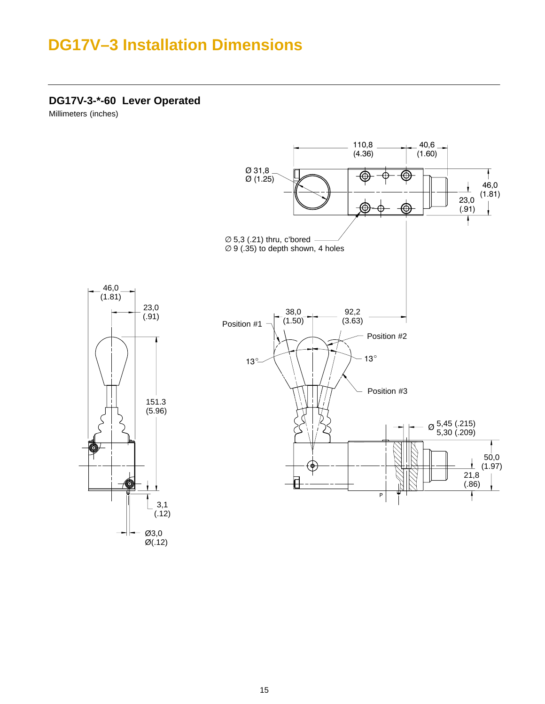## <span id="page-14-0"></span>**DG17V–3 Installation Dimensions**

**DG17V-3-\*-60 Lever Operated**

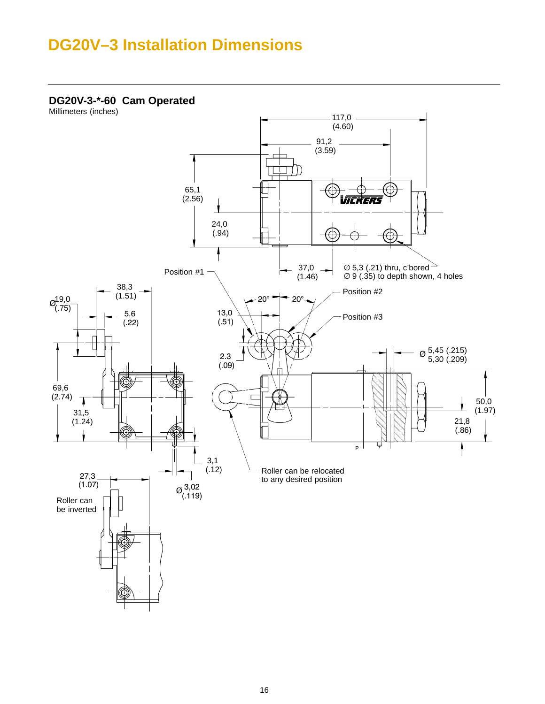## <span id="page-15-0"></span>**DG20V–3 Installation Dimensions**

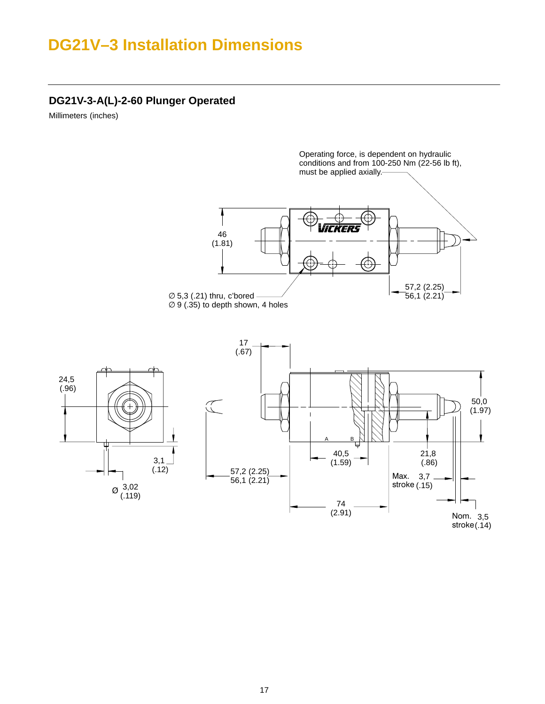## <span id="page-16-0"></span>**DG21V–3 Installation Dimensions**

### **DG21V-3-A(L)-2-60 Plunger Operated**

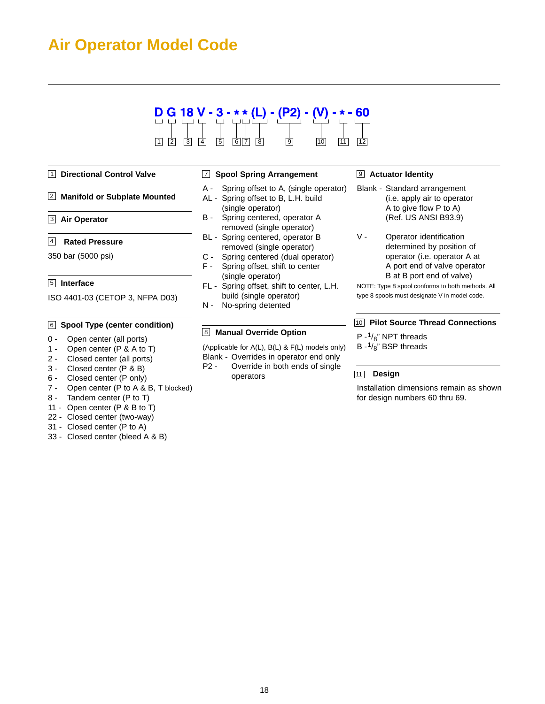## <span id="page-17-0"></span>**Air Operator Model Code**

### $D G 18 V - 3 - ** (L) - (P2) 10$ 1 2 3 4 5 6 7 8 9

#### 1 **Directional Control Valve**

#### 2 **Manifold or Subplate Mounted**

**Air Operator** 3

#### **Rated Pressure** 4

350 bar (5000 psi)

### **Interface** 5

ISO 4401-03 (CETOP 3, NFPA D03)

### **Spool Type (center condition)** 6 10

- 0 Open center (all ports)
- 1 Open center (P & A to T)
- 2 Closed center (all ports)
- 3 Closed center (P & B)
- 6 Closed center (P only)
- 7 Open center (P to A & B, T blocked)
- 8 Tandem center (P to T)
- 11 Open center (P & B to T)
- 22 Closed center (two-way)
- 31 Closed center (P to A)
- 33 Closed center (bleed A & B)

#### 7 **Spool Spring Arrangement**

- A Spring offset to A, (single operator)
- AL Spring offset to B, L.H. build (single operator)
- B Spring centered, operator A removed (single operator)
- BL Spring centered, operator B removed (single operator)
- C Spring centered (dual operator)
- F Spring offset, shift to center (single operator)
- FL Spring offset, shift to center, L.H. build (single operator)
- N No-spring detented

#### 8 **Manual Override Option**

(Applicable for A(L), B(L) & F(L) models only)

- Blank Overrides in operator end only
- P2 Override in both ends of single operators

#### **Actuator Identity** 9

- Blank Standard arrangement (i.e. apply air to operator A to give flow P to A) (Ref. US ANSI B93.9)
- V Operator identification determined by position of operator (i.e. operator A at A port end of valve operator B at B port end of valve)

NOTE: Type 8 spool conforms to both methods. All type 8 spools must designate V in model code.

#### **Pilot Source Thread Connections**

- $P \frac{1}{8}$ " NPT threads
- B  $-1/8$ " BSP threads

#### **Design** 11

Installation dimensions remain as shown for design numbers 60 thru 69.

18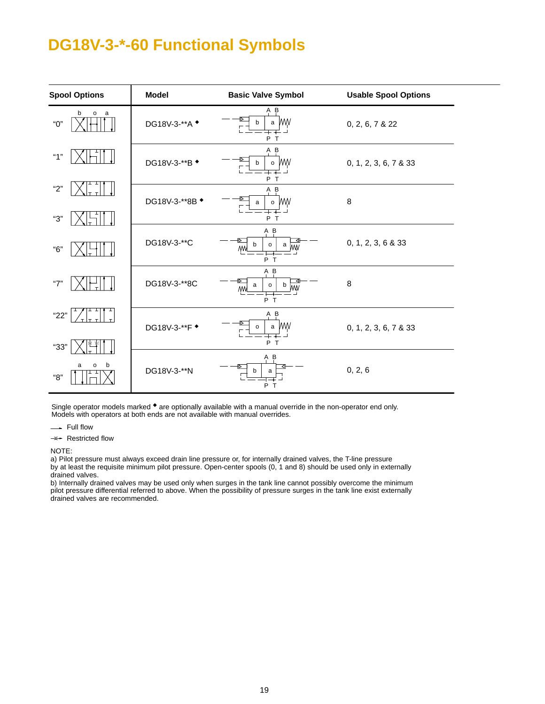## <span id="page-18-0"></span>**DG18V-3-\*-60 Functional Symbols**

| <b>Spool Options</b>                       | <b>Model</b>             | <b>Basic Valve Symbol</b>                         | <b>Usable Spool Options</b> |
|--------------------------------------------|--------------------------|---------------------------------------------------|-----------------------------|
| b<br>$\mathsf{o}\,$<br><sub>a</sub><br>"О" | DG18V-3-**A $\triangleq$ | $A$ $B$<br>a WW<br>b<br>P T                       | 0, 2, 6, 7 & 22             |
| "1"                                        | DG18V-3-**B +            | A B<br>o WW<br>b<br>P T                           | 0, 1, 2, 3, 6, 7 & 33       |
| "2"<br>"З"                                 | DG18V-3-**8B +           | $A$ $B$<br>o WW<br>a<br>P T                       | $\,8\,$                     |
| "6"                                        | DG18V-3-**C              | $A$ $B$<br>b<br>$\mathsf{o}$<br>a ww<br>ΜW<br>P T | 0, 1, 2, 3, 6 & 33          |
| "7"                                        | DG18V-3-**8C             | $A$ $B$<br>p MW<br>a<br>0<br><b>MW</b><br>P T     | 8                           |
| "22"<br>"33"                               | DG18V-3-**F $\triangleq$ | $A$ $B$<br>a WW<br>o<br>∓∓<br>P T                 | 0, 1, 2, 3, 6, 7 & 33       |
| b<br>a<br>o<br>"8"                         | DG18V-3-**N              | A B<br>b<br>a<br>P T                              | 0, 2, 6                     |

Single operator models marked  $\bullet$  are optionally available with a manual override in the non-operator end only. Models with operators at both ends are not available with manual overrides.

-- Full flow

 $\Rightarrow$  Restricted flow

NOTE:

a) Pilot pressure must always exceed drain line pressure or, for internally drained valves, the T-line pressure by at least the requisite minimum pilot pressure. Open-center spools (0, 1 and 8) should be used only in externally drained valves.

b) Internally drained valves may be used only when surges in the tank line cannot possibly overcome the minimum pilot pressure differential referred to above. When the possibility of pressure surges in the tank line exist externally drained valves are recommended.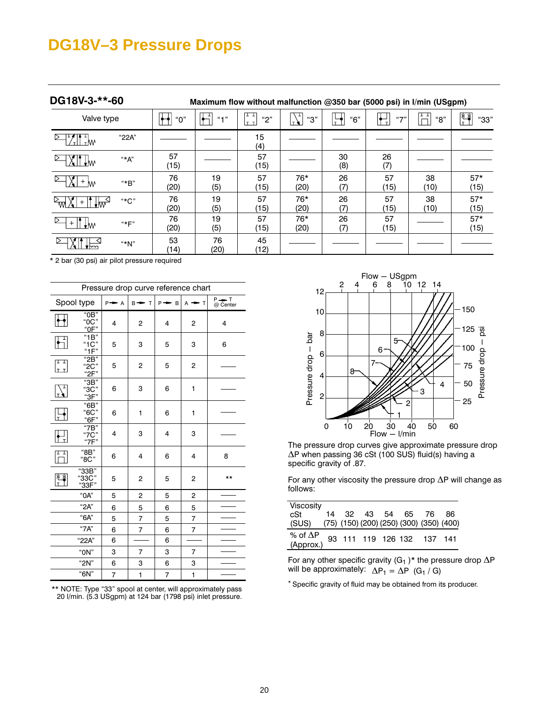## <span id="page-19-0"></span>**DG18V–3 Pressure Drops**

| DG18V-3-**-60                               |       | Maximum flow without malfunction @350 bar (5000 psi) in I/min (USgpm) |            |             |               |           |            |                     |               |
|---------------------------------------------|-------|-----------------------------------------------------------------------|------------|-------------|---------------|-----------|------------|---------------------|---------------|
| Valve type                                  |       | "О"                                                                   | $(4 - 1)$  | "2"<br>lт т | "З"<br>т₩     | "6"<br>÷  | $(1 - 1)$  | ŦТ<br>"8"<br>$\Box$ | "33"          |
| $\mathbb{L}^{\mathbb{L}}$ w<br>$\mathbf{r}$ | "22A" |                                                                       |            | 15<br>(4)   |               |           |            |                     |               |
| IT Ilm                                      | "*A"  | 57<br>(15)                                                            |            | 57<br>(15)  |               | 30<br>(8) | 26<br>(7)  |                     |               |
| $+$ M                                       | "*B"  | 76<br>(20)                                                            | 19<br>(5)  | 57<br>(15)  | 76*<br>(20)   | 26<br>(7) | 57<br>(15) | 38<br>(10)          | $57*$<br>(15) |
| 1 <sub>W</sub>                              | "*C"  | 76<br>(20)                                                            | 19<br>(5)  | 57<br>(15)  | 76*<br>(20)   | 26<br>(7) | 57<br>(15) | 38<br>(10)          | $57*$<br>(15) |
| $+W$                                        | "*F"  | 76<br>(20)                                                            | 19<br>(5)  | 57<br>(15)  | $76*$<br>(20) | 26<br>(7) | 57<br>(15) |                     | $57*$<br>(15) |
|                                             | "*N"  | 53<br>(14)                                                            | 76<br>(20) | 45<br>(12)  |               |           |            |                     |               |

\* 2 bar (30 psi) air pilot pressure required

| Pressure drop curve reference chart                                                                                                  |                              |   |                |   |                |       |  |  |
|--------------------------------------------------------------------------------------------------------------------------------------|------------------------------|---|----------------|---|----------------|-------|--|--|
| P <del>=</del> T<br>@ Center<br>Spool type<br>T<br>$P \rightarrow B$<br>$P \rightarrow A$<br>$B \rightarrow$<br>$A \rightarrow$<br>T |                              |   |                |   |                |       |  |  |
|                                                                                                                                      | "0B"<br>"0C"<br>"OF"         | 4 | 2              | 4 | 2              | 4     |  |  |
| $\frac{1}{\sqrt{2}}$                                                                                                                 | "1B"<br>"1C"<br>"1F"         | 5 | 3              | 5 | 3              | 6     |  |  |
| 다<br>ع عا                                                                                                                            | "2B"<br>"2C"<br>"2F"         | 5 | 2              | 5 | 2              |       |  |  |
|                                                                                                                                      | $\overline{3B}$ "38"<br>"3F" | 6 | 3              | 6 | 1              |       |  |  |
| $\overline{1}$                                                                                                                       | "6B"<br>"6C"<br>"6F"         | 6 | 1              | 6 | 1              |       |  |  |
|                                                                                                                                      | "7B"<br>"7C"<br>"7F"         | 4 | 3              | 4 | 3              |       |  |  |
|                                                                                                                                      | "8B"<br>"8C"                 | 6 | 4              | 6 | 4              | 8     |  |  |
| 水<br>氺<br>$\tau$                                                                                                                     | "33B"<br>"33C"<br>"33F"      | 5 | 2              | 5 | 2              | $***$ |  |  |
|                                                                                                                                      | "0A"                         | 5 | $\overline{c}$ | 5 | 2              |       |  |  |
|                                                                                                                                      | "2A"                         | 6 | 5              | 6 | 5              |       |  |  |
|                                                                                                                                      | "6A"                         | 5 | 7              | 5 | $\overline{7}$ |       |  |  |
|                                                                                                                                      | "7A"                         | 6 | 7              | 6 | 7              |       |  |  |
|                                                                                                                                      | "22A"                        | 6 |                | 6 |                |       |  |  |
|                                                                                                                                      | " $ON$ "                     | 3 | 7              | 3 | 7              |       |  |  |
|                                                                                                                                      | "2 $N$ "                     | 6 | 3              | 6 | 3              |       |  |  |
|                                                                                                                                      | "6N"                         | 7 | 1              | 7 | 1              |       |  |  |

\*\* NOTE: Type "33" spool at center, will approximately pass 20 l/min. (5.3 USgpm) at 124 bar (1798 psi) inlet pressure.



The pressure drop curves give approximate pressure drop  $\Delta$ P when passing 36 cSt (100 SUS) fluid(s) having a specific gravity of .87.

For any other viscosity the pressure drop  $\Delta P$  will change as follows:

| Viscosity                                               |  |  |                      |  |
|---------------------------------------------------------|--|--|----------------------|--|
| cSt                                                     |  |  | 14 32 43 54 65 76 86 |  |
| (SUS) (75) (150) (200) (250) (300) (350) (400)          |  |  |                      |  |
| % of $\Delta P$ 93 111 119 126 132 137 141<br>(Approx.) |  |  |                      |  |

For any other specific gravity (G<sub>1</sub>)<sup>\*</sup> the pressure drop  $\Delta P$ will be approximately:  $\Delta P_1 = \Delta P$  (G<sub>1</sub> / G)

\* Specific gravity of fluid may be obtained from its producer.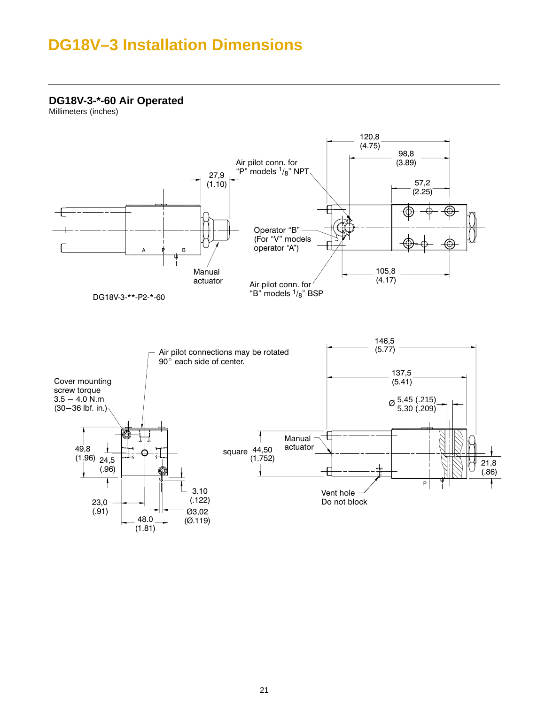## <span id="page-20-0"></span>**DG18V–3 Installation Dimensions**

**DG18V-3-\*-60 Air Operated**

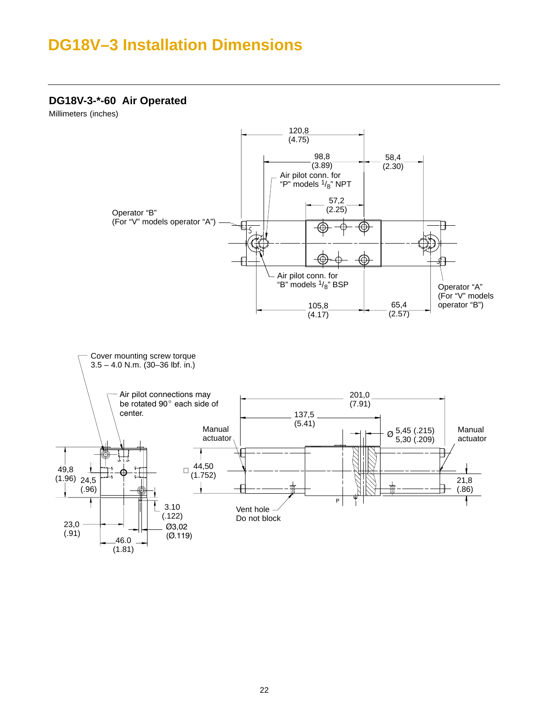## **DG18V–3 Installation Dimensions**

### **DG18V-3-\*-60 Air Operated**

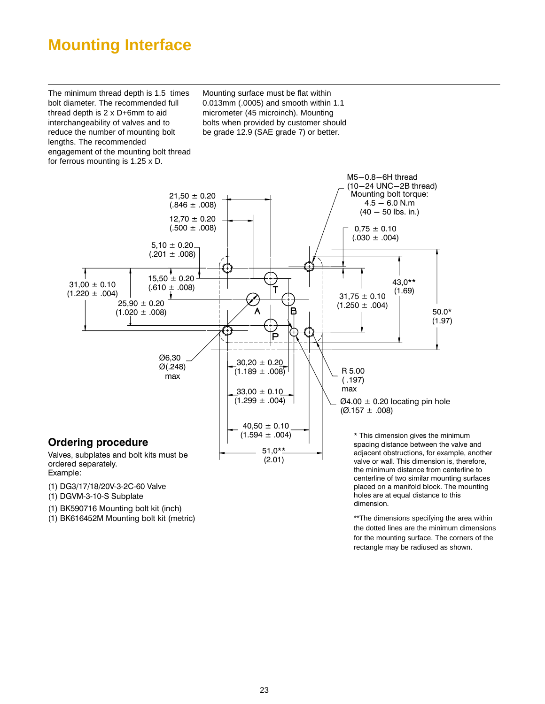## <span id="page-22-0"></span>**Mounting Interface**

The minimum thread depth is 1.5 times bolt diameter. The recommended full thread depth is 2 x D+6mm to aid interchangeability of valves and to reduce the number of mounting bolt lengths. The recommended engagement of the mounting bolt thread for ferrous mounting is 1.25 x D.

Mounting surface must be flat within 0.013mm (.0005) and smooth within 1.1 micrometer (45 microinch). Mounting bolts when provided by customer should be grade 12.9 (SAE grade 7) or better.



(1) DG3/17/18/20V-3-2C-60 Valve

 $(1)$  DGVM-3-10-S Subplate

(1) BK590716 Mounting bolt kit (inch)

(1) BK616452M Mounting bolt kit (metric) and the state of the state of the dimensions specifying the area within the dotted lines are the minimum dimensions for the mounting surface. The corners of the rectangle may be radiused as shown.

holes are at equal distance to this

dimension.